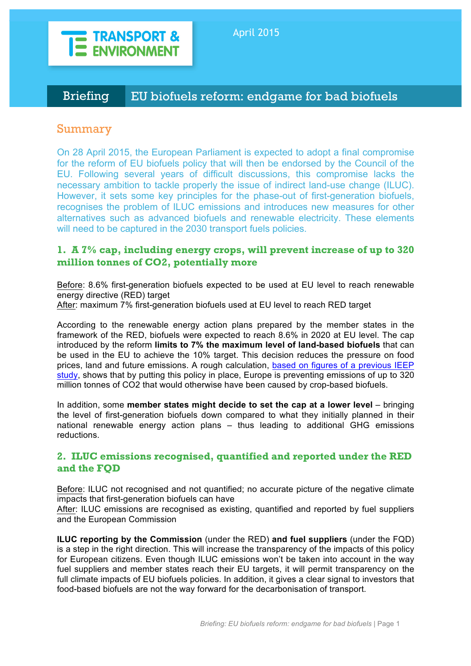

# Briefing EU biofuels reform: endgame for bad biofuels

## Summary

On 28 April 2015, the European Parliament is expected to adopt a final compromise for the reform of EU biofuels policy that will then be endorsed by the Council of the EU. Following several years of difficult discussions, this compromise lacks the necessary ambition to tackle properly the issue of indirect land-use change (ILUC). However, it sets some key principles for the phase-out of first-generation biofuels, recognises the problem of ILUC emissions and introduces new measures for other alternatives such as advanced biofuels and renewable electricity. These elements will need to be captured in the 2030 transport fuels policies.

## **1. A 7% cap, including energy crops, will prevent increase of up to 320 million tonnes of CO2, potentially more**

Before: 8.6% first-generation biofuels expected to be used at EU level to reach renewable energy directive (RED) target

After: maximum 7% first-generation biofuels used at EU level to reach RED target

According to the renewable energy action plans prepared by the member states in the framework of the RED, biofuels were expected to reach 8.6% in 2020 at EU level. The cap introduced by the reform **limits to 7% the maximum level of land-based biofuels** that can be used in the EU to achieve the 10% target. This decision reduces the pressure on food prices, land and future emissions. A rough calculation, based on figures of a previous IEEP study, shows that by putting this policy in place, Europe is preventing emissions of up to 320 million tonnes of CO2 that would otherwise have been caused by crop-based biofuels.

In addition, some **member states might decide to set the cap at a lower level** – bringing the level of first-generation biofuels down compared to what they initially planned in their national renewable energy action plans – thus leading to additional GHG emissions reductions.

### **2. ILUC emissions recognised, quantified and reported under the RED and the FQD**

Before: ILUC not recognised and not quantified; no accurate picture of the negative climate impacts that first-generation biofuels can have

After: ILUC emissions are recognised as existing, quantified and reported by fuel suppliers and the European Commission

**ILUC reporting by the Commission** (under the RED) **and fuel suppliers** (under the FQD) is a step in the right direction. This will increase the transparency of the impacts of this policy for European citizens. Even though ILUC emissions won't be taken into account in the way fuel suppliers and member states reach their EU targets, it will permit transparency on the full climate impacts of EU biofuels policies. In addition, it gives a clear signal to investors that food-based biofuels are not the way forward for the decarbonisation of transport.